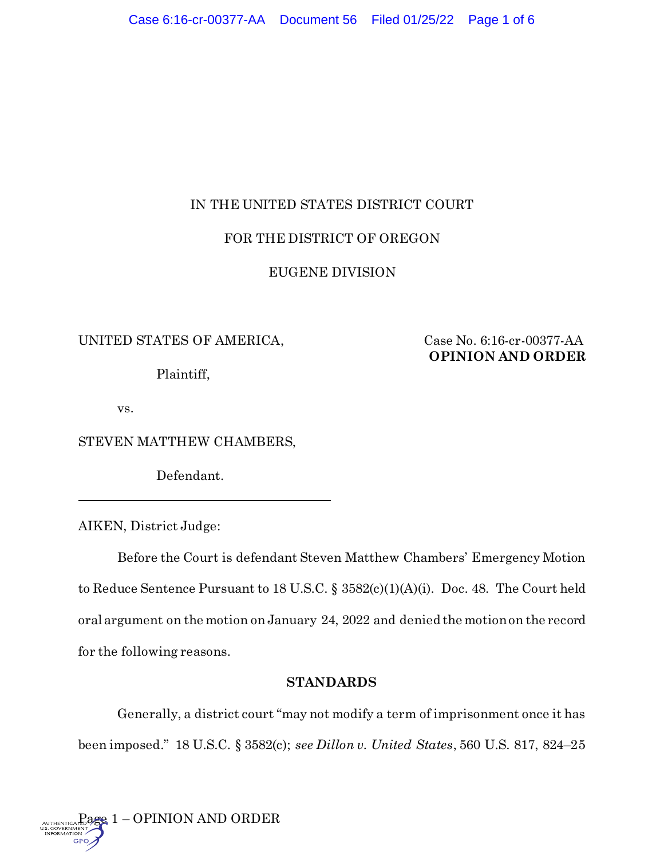# IN THE UNITED STATES DISTRICT COURT

# FOR THE DISTRICT OF OREGON

# EUGENE DIVISION

# UNITED STATES OF AMERICA, Case No. 6:16-cr-00377-AA

Plaintiff,

**OPINION AND ORDER**

vs.

STEVEN MATTHEW CHAMBERS,

Defendant.

AIKEN, District Judge:

Before the Court is defendant Steven Matthew Chambers' Emergency Motion to Reduce Sentence Pursuant to 18 U.S.C. § 3582(c)(1)(A)(i). Doc. 48. The Court held oral argument on the motion on January 24, 2022 and denied the motion on the record for the following reasons.

# **STANDARDS**

Generally, a district court "may not modify a term of imprisonment once it has been imposed." 18 U.S.C. § 3582(c); *see Dillon v. United States*, 560 U.S. 817, 824–25

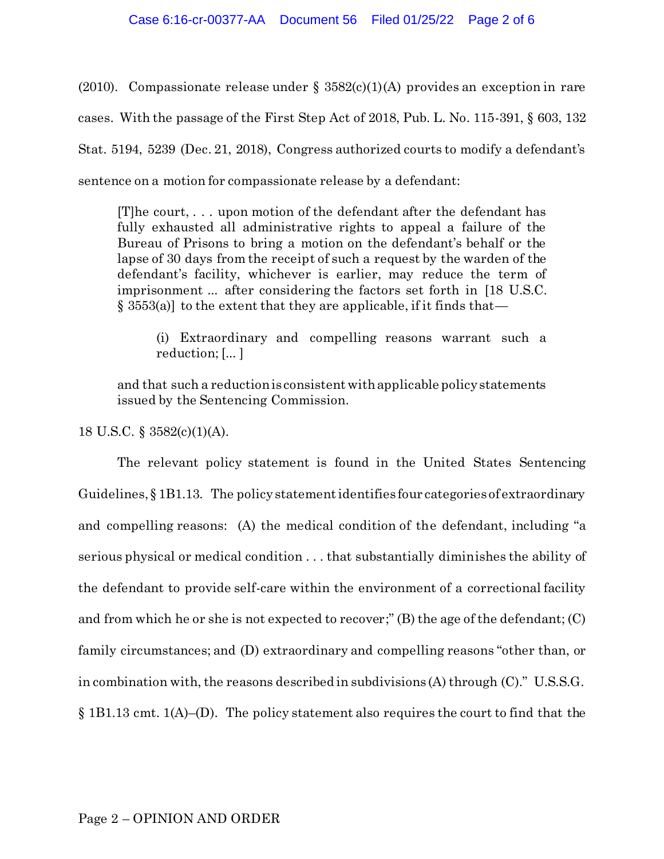(2010). Compassionate release under  $\S$  3582(c)(1)(A) provides an exception in rare cases. With the passage of the First Step Act of 2018, Pub. L. No. 115-391, § 603, 132 Stat. 5194, 5239 (Dec. 21, 2018), Congress authorized courts to modify a defendant's sentence on a motion for compassionate release by a defendant:

[T]he court, . . . upon motion of the defendant after the defendant has fully exhausted all administrative rights to appeal a failure of the Bureau of Prisons to bring a motion on the defendant's behalf or the lapse of 30 days from the receipt of such a request by the warden of the defendant's facility, whichever is earlier, may reduce the term of imprisonment ... after considering the factors set forth in [18 U.S.C.  $\S$  3553(a)] to the extent that they are applicable, if it finds that—

(i) Extraordinary and compelling reasons warrant such a reduction; [... ]

and that such a reduction is consistent with applicable policy statements issued by the Sentencing Commission.

18 U.S.C. § 3582(c)(1)(A).

The relevant policy statement is found in the United States Sentencing Guidelines, § 1B1.13. The policy statement identifies four categories of extraordinary and compelling reasons: (A) the medical condition of the defendant, including "a serious physical or medical condition . . . that substantially diminishes the ability of the defendant to provide self-care within the environment of a correctional facility and from which he or she is not expected to recover;" (B) the age of the defendant; (C) family circumstances; and (D) extraordinary and compelling reasons "other than, or in combination with, the reasons described in subdivisions (A) through (C)." U.S.S.G. § 1B1.13 cmt. 1(A)–(D). The policy statement also requires the court to find that the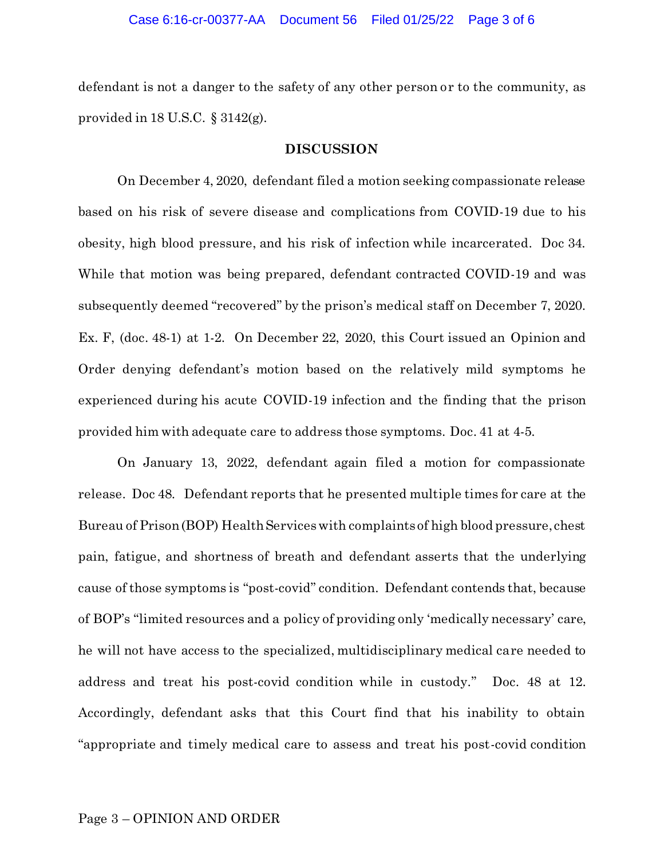defendant is not a danger to the safety of any other person or to the community, as provided in 18 U.S.C. § 3142(g).

## **DISCUSSION**

On December 4, 2020, defendant filed a motion seeking compassionate release based on his risk of severe disease and complications from COVID-19 due to his obesity, high blood pressure, and his risk of infection while incarcerated. Doc 34. While that motion was being prepared, defendant contracted COVID-19 and was subsequently deemed "recovered" by the prison's medical staff on December 7, 2020. Ex. F, (doc. 48-1) at 1-2. On December 22, 2020, this Court issued an Opinion and Order denying defendant's motion based on the relatively mild symptoms he experienced during his acute COVID-19 infection and the finding that the prison provided him with adequate care to address those symptoms. Doc. 41 at 4-5.

On January 13, 2022, defendant again filed a motion for compassionate release. Doc 48. Defendant reports that he presented multiple times for care at the Bureau of Prison (BOP) Health Services with complaints of high blood pressure, chest pain, fatigue, and shortness of breath and defendant asserts that the underlying cause of those symptoms is "post-covid" condition. Defendant contends that, because of BOP's "limited resources and a policy of providing only 'medically necessary' care, he will not have access to the specialized, multidisciplinary medical care needed to address and treat his post-covid condition while in custody." Doc. 48 at 12. Accordingly, defendant asks that this Court find that his inability to obtain "appropriate and timely medical care to assess and treat his post-covid condition

## Page 3 – OPINION AND ORDER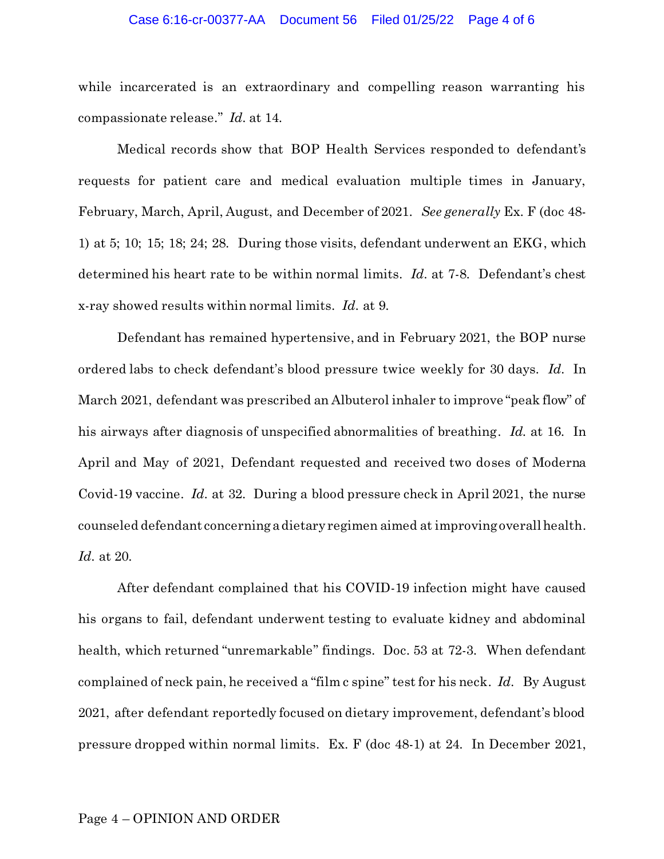#### Case 6:16-cr-00377-AA Document 56 Filed 01/25/22 Page 4 of 6

while incarcerated is an extraordinary and compelling reason warranting his compassionate release." *Id*. at 14.

Medical records show that BOP Health Services responded to defendant's requests for patient care and medical evaluation multiple times in January, February, March, April, August, and December of 2021. *See generally* Ex. F (doc 48- 1) at 5; 10; 15; 18; 24; 28. During those visits, defendant underwent an EKG, which determined his heart rate to be within normal limits. *Id*. at 7-8. Defendant's chest x-ray showed results within normal limits. *Id*. at 9.

Defendant has remained hypertensive, and in February 2021, the BOP nurse ordered labs to check defendant's blood pressure twice weekly for 30 days. *Id*. In March 2021, defendant was prescribed an Albuterol inhaler to improve "peak flow" of his airways after diagnosis of unspecified abnormalities of breathing. *Id.* at 16. In April and May of 2021, Defendant requested and received two doses of Moderna Covid-19 vaccine. *Id*. at 32. During a blood pressure check in April 2021, the nurse counseled defendant concerning adietary regimen aimed at improving overall health. *Id*. at 20.

After defendant complained that his COVID-19 infection might have caused his organs to fail, defendant underwent testing to evaluate kidney and abdominal health, which returned "unremarkable" findings. Doc. 53 at 72-3. When defendant complained of neck pain, he received a "film c spine" test for his neck. *Id*. By August 2021, after defendant reportedly focused on dietary improvement, defendant's blood pressure dropped within normal limits. Ex. F (doc 48-1) at 24. In December 2021,

## Page 4 – OPINION AND ORDER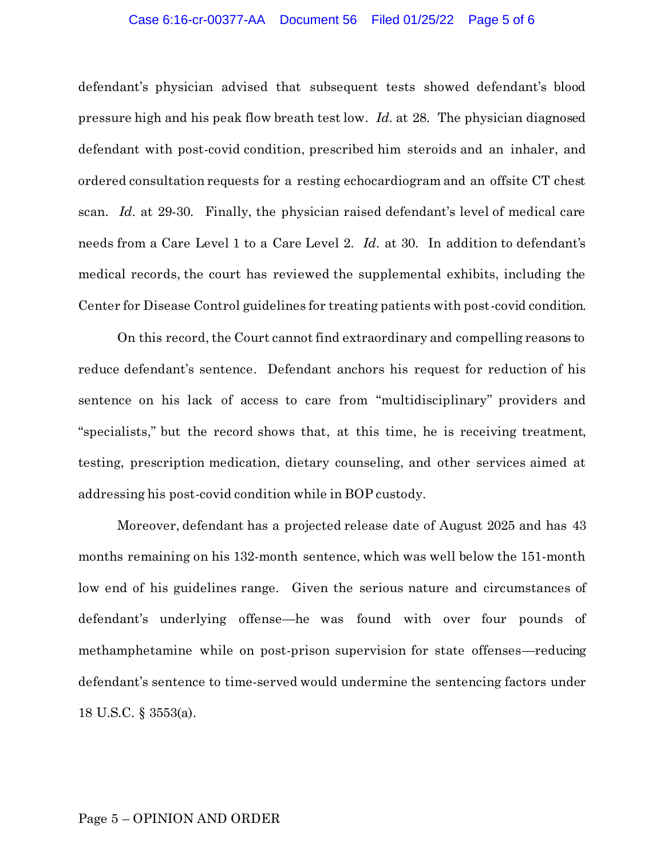### Case 6:16-cr-00377-AA Document 56 Filed 01/25/22 Page 5 of 6

defendant's physician advised that subsequent tests showed defendant's blood pressure high and his peak flow breath test low. *Id*. at 28. The physician diagnosed defendant with post-covid condition, prescribed him steroids and an inhaler, and ordered consultation requests for a resting echocardiogram and an offsite CT chest scan. *Id*. at 29-30. Finally, the physician raised defendant's level of medical care needs from a Care Level 1 to a Care Level 2. *Id*. at 30. In addition to defendant's medical records, the court has reviewed the supplemental exhibits, including the Center for Disease Control guidelines for treating patients with post-covid condition.

On this record, the Court cannot find extraordinary and compelling reasons to reduce defendant's sentence. Defendant anchors his request for reduction of his sentence on his lack of access to care from "multidisciplinary" providers and "specialists," but the record shows that, at this time, he is receiving treatment, testing, prescription medication, dietary counseling, and other services aimed at addressing his post-covid condition while in BOP custody.

Moreover, defendant has a projected release date of August 2025 and has 43 months remaining on his 132-month sentence, which was well below the 151-month low end of his guidelines range. Given the serious nature and circumstances of defendant's underlying offense—he was found with over four pounds of methamphetamine while on post-prison supervision for state offenses—reducing defendant's sentence to time-served would undermine the sentencing factors under 18 U.S.C. § 3553(a).

## Page 5 – OPINION AND ORDER